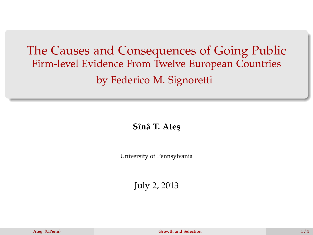## The Causes and Consequences of Going Public Firm-level Evidence From Twelve European Countries by Federico M. Signoretti

**Sînâ T. Ate¸s**

University of Pennsylvania

<span id="page-0-0"></span>July 2, 2013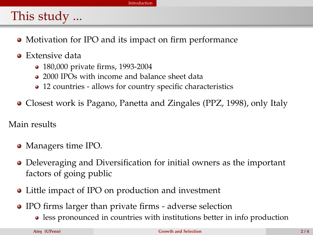## [Introduction](#page-1-0)

## This study ...

- Motivation for IPO and its impact on firm performance
- Extensive data
	- 180,000 private firms, 1993-2004
	- 2000 IPOs with income and balance sheet data
	- 12 countries allows for country specific characteristics
- Closest work is Pagano, Panetta and Zingales (PPZ, 1998), only Italy

Main results

- Managers time IPO.
- Deleveraging and Diversification for initial owners as the important factors of going public
- Little impact of IPO on production and investment
- <span id="page-1-0"></span>IPO firms larger than private firms - adverse selection
	- less pronounced in countries with institutions better in info production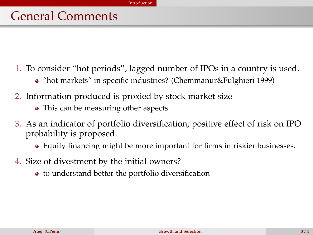- 1. To consider "hot periods", lagged number of IPOs in a country is used.
	- "hot markets" in specific industries? (Chemmanur&Fulghieri 1999)
- 2. Information produced is proxied by stock market size
	- This can be measuring other aspects.
- 3. As an indicator of portfolio diversification, positive effect of risk on IPO probability is proposed.
	- Equity financing might be more important for firms in riskier businesses.
- <span id="page-2-0"></span>4. Size of divestment by the initial owners?
	- to understand better the portfolio diversification